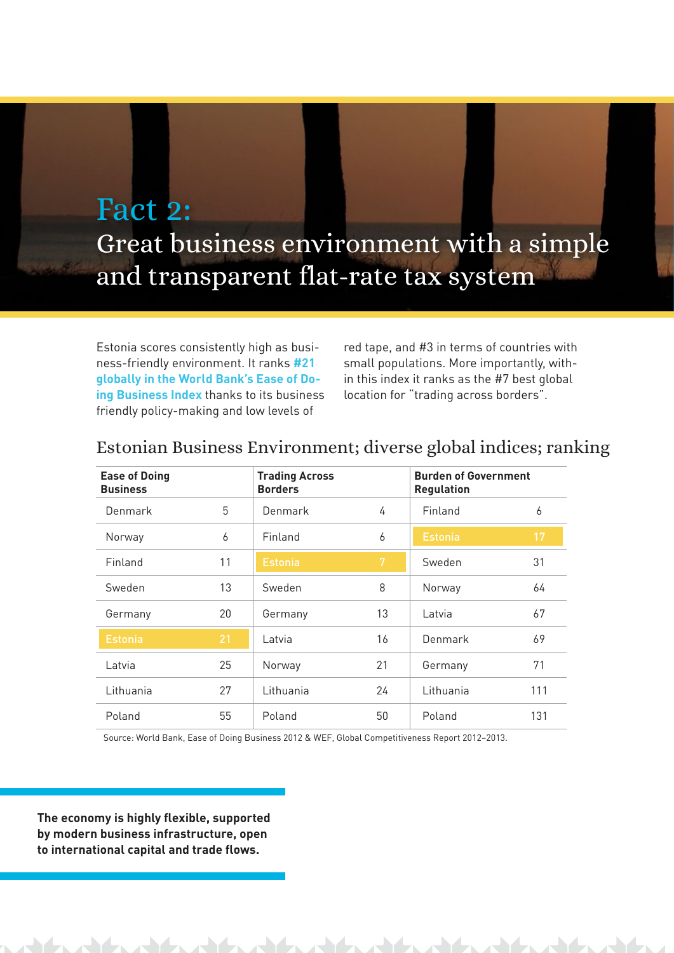## Fact 2: Great business environment with a simple and transparent flat-rate tax system

Estonia scores consistently high as business-friendly environment. It ranks **#21 globally in the World Bank's Ease of Doing Business Index** thanks to its business friendly policy-making and low levels of

red tape, and #3 in terms of countries with small populations. More importantly, within this index it ranks as the #7 best global location for "trading across borders".

| <b>Ease of Doing</b><br><b>Business</b> |    | <b>Trading Across</b><br><b>Borders</b> |    | <b>Burden of Government</b><br><b>Regulation</b> |     |
|-----------------------------------------|----|-----------------------------------------|----|--------------------------------------------------|-----|
| Denmark                                 | 5  | Denmark                                 | 4  | Finland                                          | 6   |
| Norway                                  | 6  | Finland                                 | 6  | <b>Estonia</b>                                   | 17  |
| Finland                                 | 11 | <b>Estonia</b>                          | 7  | Sweden                                           | 31  |
| Sweden                                  | 13 | Sweden                                  | 8  | Norway                                           | 64  |
| Germany                                 | 20 | Germany                                 | 13 | Latvia                                           | 67  |
| <b>Estonia</b>                          | 21 | Latvia                                  | 16 | Denmark                                          | 69  |
| Latvia                                  | 25 | Norway                                  | 21 | Germany                                          | 71  |
| Lithuania                               | 27 | Lithuania                               | 24 | Lithuania                                        | 111 |
| Poland                                  | 55 | Poland                                  | 50 | Poland                                           | 131 |

## Estonian Business Environment; diverse global indices; ranking

Source: World Bank, Ease of Doing Business 2012 & WEF, Global Competitiveness Report 2012–2013.

**The economy is highly flexible, supported by modern business infrastructure, open to international capital and trade flows.**